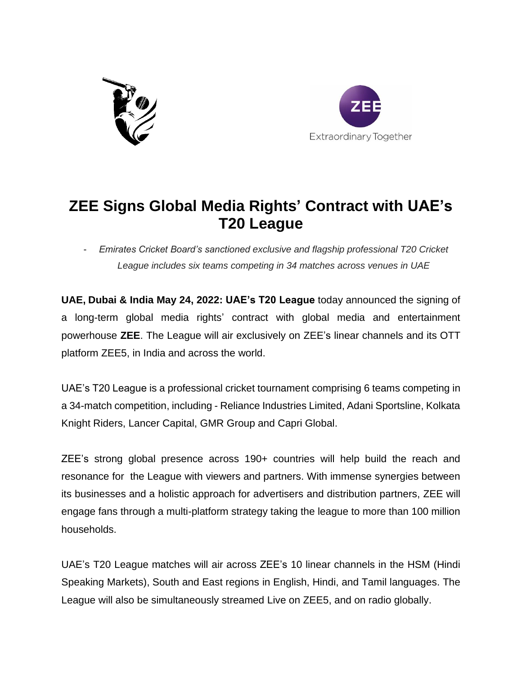



## **ZEE Signs Global Media Rights' Contract with UAE's T20 League**

- *Emirates Cricket Board's sanctioned exclusive and flagship professional T20 Cricket League includes six teams competing in 34 matches across venues in UAE*

**UAE, Dubai & India May 24, 2022: UAE's T20 League** today announced the signing of a long-term global media rights' contract with global media and entertainment powerhouse **ZEE**. The League will air exclusively on ZEE's linear channels and its OTT platform ZEE5, in India and across the world.

UAE's T20 League is a professional cricket tournament comprising 6 teams competing in a 34-match competition, including - Reliance Industries Limited, Adani Sportsline, Kolkata Knight Riders, Lancer Capital, GMR Group and Capri Global.

ZEE's strong global presence across 190+ countries will help build the reach and resonance for the League with viewers and partners. With immense synergies between its businesses and a holistic approach for advertisers and distribution partners, ZEE will engage fans through a multi-platform strategy taking the league to more than 100 million households.

UAE's T20 League matches will air across ZEE's 10 linear channels in the HSM (Hindi Speaking Markets), South and East regions in English, Hindi, and Tamil languages. The League will also be simultaneously streamed Live on ZEE5, and on radio globally.